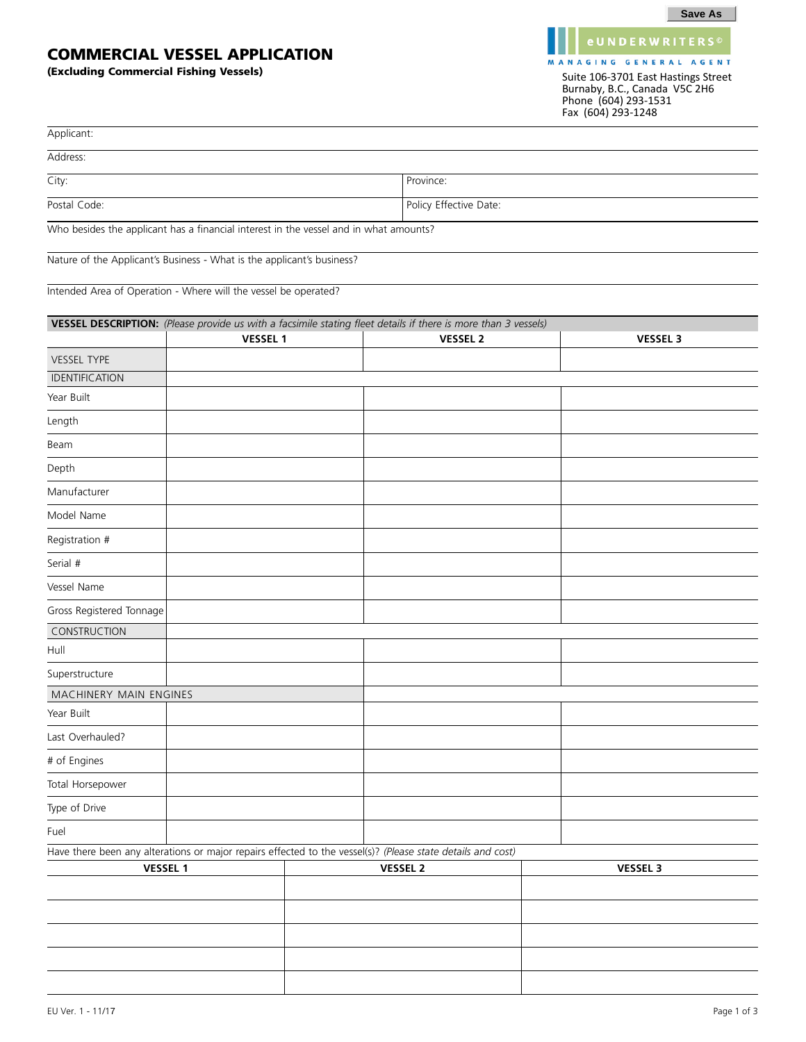## **COMMERCIAL VESSEL APPLICATION**

**(Excluding Commercial Fishing Vessels)**

MANAGING GENERAL AGENT Suite 106-3701 East Hastings Street Burnaby, B.C., Canada V5C 2H6 Phone (604) 293-1531 Fax (604) 293-1248

**eUNDERWRITERS**<sup>©</sup>

| Applicant:                                                                                                  |                 |  |                                                                                                                |                 |  |
|-------------------------------------------------------------------------------------------------------------|-----------------|--|----------------------------------------------------------------------------------------------------------------|-----------------|--|
| Address:                                                                                                    |                 |  |                                                                                                                |                 |  |
| City:                                                                                                       |                 |  | Province:                                                                                                      |                 |  |
| Postal Code:                                                                                                |                 |  | Policy Effective Date:                                                                                         |                 |  |
| Who besides the applicant has a financial interest in the vessel and in what amounts?                       |                 |  |                                                                                                                |                 |  |
| Nature of the Applicant's Business - What is the applicant's business?                                      |                 |  |                                                                                                                |                 |  |
|                                                                                                             |                 |  |                                                                                                                |                 |  |
| Intended Area of Operation - Where will the vessel be operated?                                             |                 |  |                                                                                                                |                 |  |
|                                                                                                             |                 |  | VESSEL DESCRIPTION: (Please provide us with a facsimile stating fleet details if there is more than 3 vessels) |                 |  |
|                                                                                                             | <b>VESSEL 1</b> |  | <b>VESSEL 2</b>                                                                                                | <b>VESSEL 3</b> |  |
| <b>VESSEL TYPE</b>                                                                                          |                 |  |                                                                                                                |                 |  |
| IDENTIFICATION                                                                                              |                 |  |                                                                                                                |                 |  |
| Year Built                                                                                                  |                 |  |                                                                                                                |                 |  |
| Length                                                                                                      |                 |  |                                                                                                                |                 |  |
| Beam                                                                                                        |                 |  |                                                                                                                |                 |  |
| Depth                                                                                                       |                 |  |                                                                                                                |                 |  |
| Manufacturer                                                                                                |                 |  |                                                                                                                |                 |  |
| Model Name                                                                                                  |                 |  |                                                                                                                |                 |  |
| Registration #                                                                                              |                 |  |                                                                                                                |                 |  |
| Serial #                                                                                                    |                 |  |                                                                                                                |                 |  |
| Vessel Name                                                                                                 |                 |  |                                                                                                                |                 |  |
| Gross Registered Tonnage                                                                                    |                 |  |                                                                                                                |                 |  |
| CONSTRUCTION                                                                                                |                 |  |                                                                                                                |                 |  |
| Hull                                                                                                        |                 |  |                                                                                                                |                 |  |
| Superstructure                                                                                              |                 |  |                                                                                                                |                 |  |
| MACHINERY MAIN ENGINES                                                                                      |                 |  |                                                                                                                |                 |  |
| Year Built                                                                                                  |                 |  |                                                                                                                |                 |  |
| Last Overhauled?                                                                                            |                 |  |                                                                                                                |                 |  |
| # of Engines                                                                                                |                 |  |                                                                                                                |                 |  |
| Total Horsepower                                                                                            |                 |  |                                                                                                                |                 |  |
| Type of Drive                                                                                               |                 |  |                                                                                                                |                 |  |
| Fuel                                                                                                        |                 |  |                                                                                                                |                 |  |
| Have there been any alterations or major repairs effected to the vessel(s)? (Please state details and cost) |                 |  |                                                                                                                |                 |  |
| <b>VESSEL 1</b>                                                                                             |                 |  | <b>VESSEL 2</b>                                                                                                | <b>VESSEL 3</b> |  |
|                                                                                                             |                 |  |                                                                                                                |                 |  |
|                                                                                                             |                 |  |                                                                                                                |                 |  |
|                                                                                                             |                 |  |                                                                                                                |                 |  |
|                                                                                                             |                 |  |                                                                                                                |                 |  |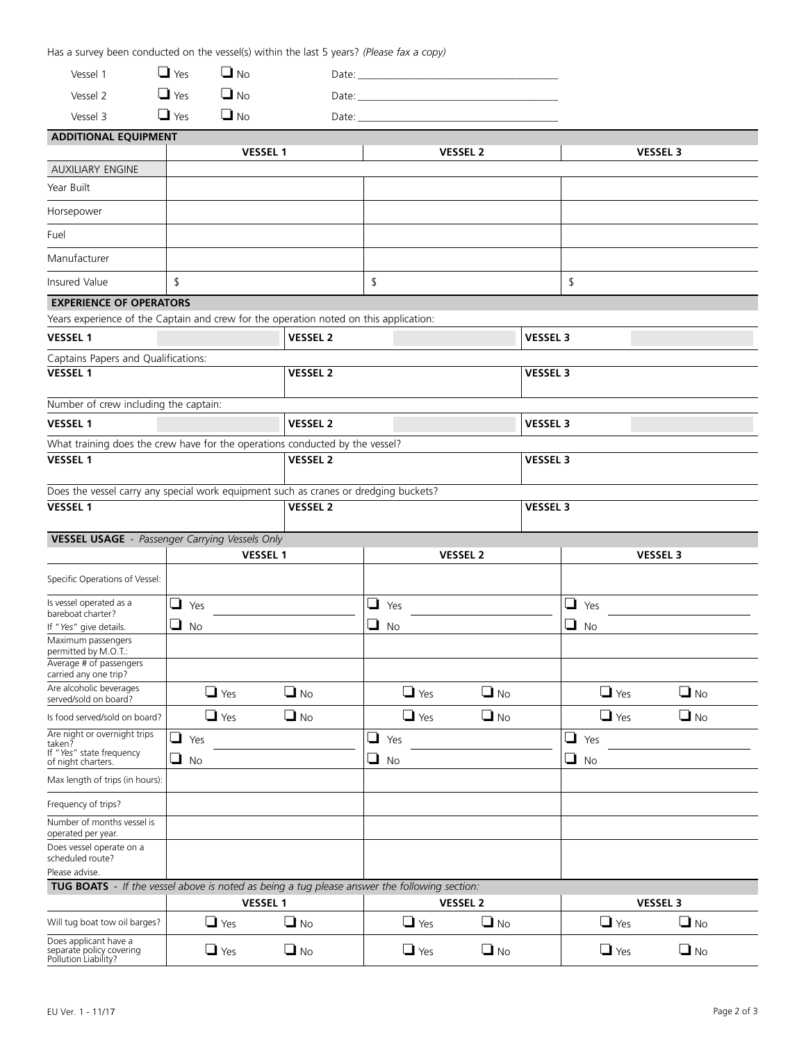Has a survey been conducted on the vessel(s) within the last 5 years? *(Please fax a copy)* Vessel 1  $\Box$  Yes  $\Box$  No No Date: \_\_\_\_\_\_\_\_\_\_\_\_\_\_\_\_\_\_\_\_\_\_\_\_\_\_\_\_\_\_\_\_\_\_\_\_\_\_ Vessel 2  $\Box$  Yes  $\Box$  No.  $Date:$ Vessel 3  $\Box$  Yes  $\Box$  No. No Date: \_\_\_\_\_\_\_\_\_\_\_\_\_\_\_\_\_\_\_\_\_\_\_\_\_\_\_\_\_\_\_\_\_\_\_\_\_\_ **ADDITIONAL EQUIPMENT VESSEL 1 VESSEL 2 VESSEL 3** AUXILIARY ENGINE Year Built Horsepower Fuel Manufacturer Insured Value  $\begin{array}{|c|c|c|c|c|c|}\hline \text{ $s$} & \text{ $s$} & \text{ $s$} & \text{ $s$} & \text{ $s$} & \text{ $s$} & \text{ $s$} & \text{ $s$} & \text{ $s$} & \text{ $s$} & \text{ $s$} & \text{ $s$} & \text{ $s$} & \text{ $s$} & \text{ $s$} & \text{ $s$} & \text{ $s$} & \text{ $s$} & \text{ $s$} & \text{ $s$} & \text{ $s$} & \text{ $s$} & \text{ $s$} & \$ **EXPERIENCE OF OPERATORS** Years experience of the Captain and crew for the operation noted on this application: Captains Papers and Qualifications: **VESSEL 1 VESSEL 2 VESSEL 3 VESSEL 1 VESSEL 2 VESSEL 3** Number of crew including the captain: **VESSEL 1 VESSEL 2 VESSEL 3** What training does the crew have for the operations conducted by the vessel? **VESSEL 1 VESSEL 2 VESSEL 3** Does the vessel carry any special work equipment such as cranes or dredging buckets? **VESSEL 1 VESSEL 2 VESSEL 3 VESSEL USAGE** - *Passenger Carrying Vessels Only* **VESSEL 1 VESSEL 2 VESSEL 3** Specific Operations of Vessel: Is vessel operated as a bareboat charter? If "*Yes*" give details.  $\Box$  Yes  $\Box$  No  $\Box$  Yes  $\Box$  No  $\Box$  Yes  $\Box$  No Maximum passengers permitted by M.O.T.: Average # of passengers carried any one trip? Are alcoholic beverages served/sold on board?  $\Box$  Yes  $\Box$  No  $\Box$  Yes  $\Box$  No  $\Box$  Yes  $\Box$  No Is food served/sold on board?  $\Box$  Yes  $\Box$  No  $\Box$  Yes  $\Box$  No  $\Box$  Yes  $\Box$  No. Are night or overnight trips taken? If "*Yes*" state frequency of night charters.  $\Box$  Yes  $\Box$  No  $\Box$  Yes  $\Box$  No  $\Box$  Yes  $\Box$  No Max length of trips (in hours): Frequency of trips? Number of months vessel is operated per year. Does vessel operate on a scheduled route? Please advise. **TUG BOATS** - *If the vessel above is noted as being a tug please answer the following section:* Will tug boat tow oil barges?  $\Box$  Yes  $\Box$  No  $\Box$  Yes  $\Box$  No  $\Box$  Yes  $\Box$  No. Does applicant have a separate policy covering Pollution Liability?  $\Box$  Yes  $\Box$  $\Box$  No  $\Box$  Yes  $\Box$  No  $\Box$  Yes  $\Box$  No **VESSEL 1 VESSEL 2 VESSEL 3**